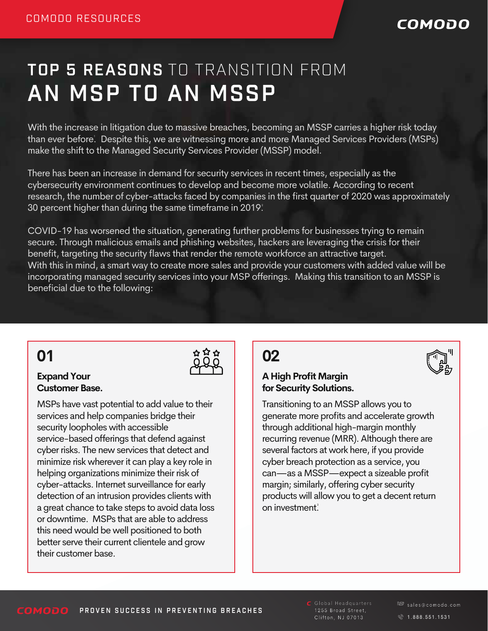### COMODO

# AN MSP TO AN MSSP TOP 5 REASONS TO TRANSITION FROM

With the increase in litigation due to massive breaches, becoming an MSSP carries a higher risk today than ever before. Despite this, we are witnessing more and more Managed Services Providers (MSPs) 1 make the shift to the Managed Security Services Provider (MSSP) model.

There has been an increase in demand for security services in recent times, especially as the cybersecurity environment continues to develop and become more volatile. According to recent research, the number of cyber-attacks faced by companies in the first quarter of 2020 was approximately 30 percent higher than during the same timeframe in 2019. 2

COVID-19 has worsened the situation, generating further problems for businesses trying to remain secure. Through malicious emails and phishing websites, hackers are leveraging the crisis for their benefit, targeting the security flaws that render the remote workforce an attractive target. With this in mind, a smart way to create more sales and provide your customers with added value will be incorporating managed security services into your MSP offerings. Making this transition to an MSSP is beneficial due to the following:

### **01**

#### **Expand Your Customer Base.**

MSPs have vast potential to add value to their services and help companies bridge their security loopholes with accessible service-based offerings that defend against cyber risks. The new services that detect and minimize risk wherever it can play a key role in helping organizations minimize their risk of cyber-attacks. Internet surveillance for early detection of an intrusion provides clients with a great chance to take steps to avoid data loss or downtime. MSPs that are able to address this need would be well positioned to both better serve their current clientele and grow their customer base.

### **02**

#### **A High Profit Margin for Security Solutions.**

Transitioning to an MSSP allows you to generate more profits and accelerate growth through additional high-margin monthly recurring revenue (MRR). Although there are several factors at work here, if you provide cyber breach protection as a service, you can—as a MSSP—expect a sizeable profit margin; similarly, offering cyber security products will allow you to get a decent return on investment.

 $\mathsf{\Xi}$  Global Headquarters 1255 Broad Street, Clifton, NJ 07013